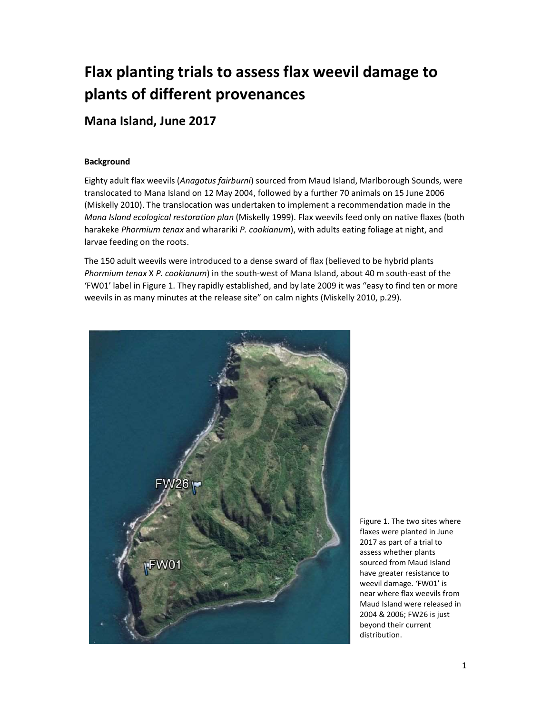# Flax planting trials to assess flax weevil damage to plants of different provenances

## Mana Island, June 2017

#### **Background**

Eighty adult flax weevils (Anagotus fairburni) sourced from Maud Island, Marlborough Sounds, were translocated to Mana Island on 12 May 2004, followed by a further 70 animals on 15 June 2006 (Miskelly 2010). The translocation was undertaken to implement a recommendation made in the Mana Island ecological restoration plan (Miskelly 1999). Flax weevils feed only on native flaxes (both harakeke Phormium tenax and wharariki P. cookianum), with adults eating foliage at night, and larvae feeding on the roots.

The 150 adult weevils were introduced to a dense sward of flax (believed to be hybrid plants Phormium tenax X P. cookianum) in the south-west of Mana Island, about 40 m south-east of the 'FW01' label in Figure 1. They rapidly established, and by late 2009 it was "easy to find ten or more weevils in as many minutes at the release site" on calm nights (Miskelly 2010, p.29).



Figure 1. The two sites where flaxes were planted in June 2017 as part of a trial to assess whether plants sourced from Maud Island have greater resistance to weevil damage. 'FW01' is near where flax weevils from Maud Island were released in 2004 & 2006; FW26 is just beyond their current distribution.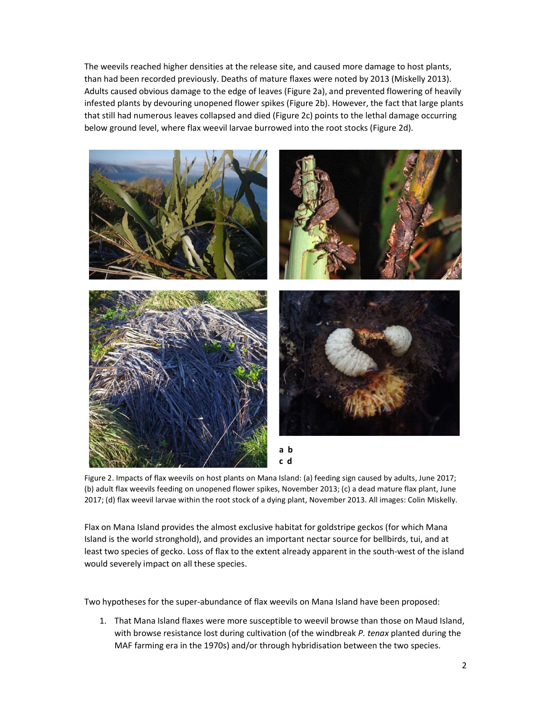The weevils reached higher densities at the release site, and caused more damage to host plants, than had been recorded previously. Deaths of mature flaxes were noted by 2013 (Miskelly 2013). Adults caused obvious damage to the edge of leaves (Figure 2a), and prevented flowering of heavily infested plants by devouring unopened flower spikes (Figure 2b). However, the fact that large plants that still had numerous leaves collapsed and died (Figure 2c) points to the lethal damage occurring below ground level, where flax weevil larvae burrowed into the root stocks (Figure 2d).



Figure 2. Impacts of flax weevils on host plants on Mana Island: (a) feeding sign caused by adults, June 2017; (b) adult flax weevils feeding on unopened flower spikes, November 2013; (c) a dead mature flax plant, June 2017; (d) flax weevil larvae within the root stock of a dying plant, November 2013. All images: Colin Miskelly.

Flax on Mana Island provides the almost exclusive habitat for goldstripe geckos (for which Mana Island is the world stronghold), and provides an important nectar source for bellbirds, tui, and at least two species of gecko. Loss of flax to the extent already apparent in the south-west of the island would severely impact on all these species.

Two hypotheses for the super-abundance of flax weevils on Mana Island have been proposed:

1. That Mana Island flaxes were more susceptible to weevil browse than those on Maud Island, with browse resistance lost during cultivation (of the windbreak P. tenax planted during the MAF farming era in the 1970s) and/or through hybridisation between the two species.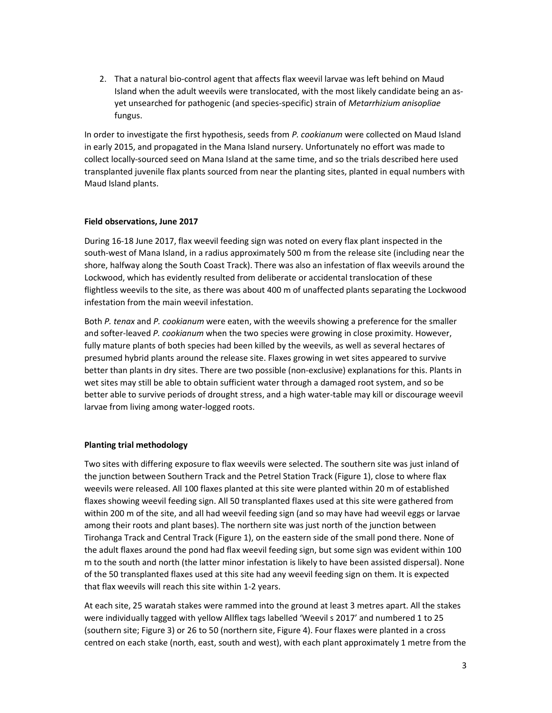2. That a natural bio-control agent that affects flax weevil larvae was left behind on Maud Island when the adult weevils were translocated, with the most likely candidate being an asyet unsearched for pathogenic (and species-specific) strain of Metarrhizium anisopliae fungus.

In order to investigate the first hypothesis, seeds from P. cookianum were collected on Maud Island in early 2015, and propagated in the Mana Island nursery. Unfortunately no effort was made to collect locally-sourced seed on Mana Island at the same time, and so the trials described here used transplanted juvenile flax plants sourced from near the planting sites, planted in equal numbers with Maud Island plants.

#### Field observations, June 2017

During 16-18 June 2017, flax weevil feeding sign was noted on every flax plant inspected in the south-west of Mana Island, in a radius approximately 500 m from the release site (including near the shore, halfway along the South Coast Track). There was also an infestation of flax weevils around the Lockwood, which has evidently resulted from deliberate or accidental translocation of these flightless weevils to the site, as there was about 400 m of unaffected plants separating the Lockwood infestation from the main weevil infestation.

Both P. tenax and P. cookianum were eaten, with the weevils showing a preference for the smaller and softer-leaved P. cookianum when the two species were growing in close proximity. However, fully mature plants of both species had been killed by the weevils, as well as several hectares of presumed hybrid plants around the release site. Flaxes growing in wet sites appeared to survive better than plants in dry sites. There are two possible (non-exclusive) explanations for this. Plants in wet sites may still be able to obtain sufficient water through a damaged root system, and so be better able to survive periods of drought stress, and a high water-table may kill or discourage weevil larvae from living among water-logged roots.

#### Planting trial methodology

Two sites with differing exposure to flax weevils were selected. The southern site was just inland of the junction between Southern Track and the Petrel Station Track (Figure 1), close to where flax weevils were released. All 100 flaxes planted at this site were planted within 20 m of established flaxes showing weevil feeding sign. All 50 transplanted flaxes used at this site were gathered from within 200 m of the site, and all had weevil feeding sign (and so may have had weevil eggs or larvae among their roots and plant bases). The northern site was just north of the junction between Tirohanga Track and Central Track (Figure 1), on the eastern side of the small pond there. None of the adult flaxes around the pond had flax weevil feeding sign, but some sign was evident within 100 m to the south and north (the latter minor infestation is likely to have been assisted dispersal). None of the 50 transplanted flaxes used at this site had any weevil feeding sign on them. It is expected that flax weevils will reach this site within 1-2 years.

At each site, 25 waratah stakes were rammed into the ground at least 3 metres apart. All the stakes were individually tagged with yellow Allflex tags labelled 'Weevil s 2017' and numbered 1 to 25 (southern site; Figure 3) or 26 to 50 (northern site, Figure 4). Four flaxes were planted in a cross centred on each stake (north, east, south and west), with each plant approximately 1 metre from the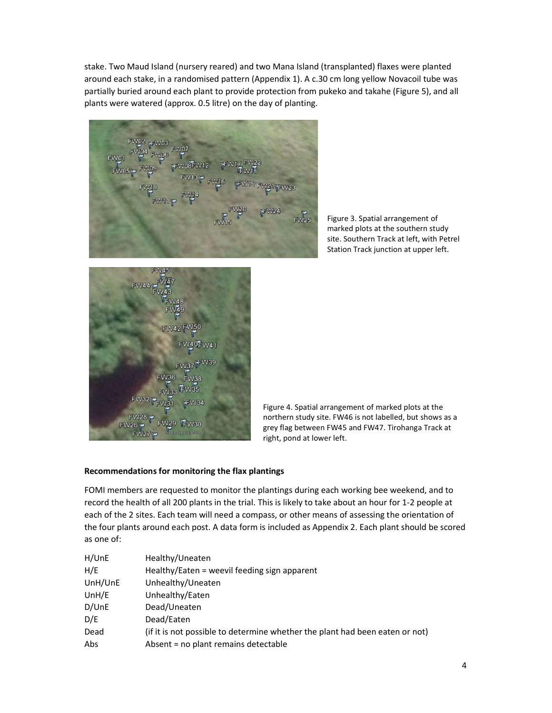stake. Two Maud Island (nursery reared) and two Mana Island (transplanted) flaxes were planted around each stake, in a randomised pattern (Appendix 1). A c.30 cm long yellow Novacoil tube was partially buried around each plant to provide protection from pukeko and takahe (Figure 5), and all plants were watered (approx. 0.5 litre) on the day of planting.

 $FW25$ 

Figure 3. Spatial arrangement of marked plots at the southern study site. Southern Track at left, with Petrel Station Track junction at upper left.



Figure 4. Spatial arrangement of marked plots at the northern study site. FW46 is not labelled, but shows as a grey flag between FW45 and FW47. Tirohanga Track at right, pond at lower left.

#### Recommendations for monitoring the flax plantings

FOMI members are requested to monitor the plantings during each working bee weekend, and to record the health of all 200 plants in the trial. This is likely to take about an hour for 1-2 people at each of the 2 sites. Each team will need a compass, or other means of assessing the orientation of the four plants around each post. A data form is included as Appendix 2. Each plant should be scored as one of:

| H/UnE   | Healthy/Uneaten                                                              |
|---------|------------------------------------------------------------------------------|
| H/E     | Healthy/Eaten = weevil feeding sign apparent                                 |
| UnH/UnE | Unhealthy/Uneaten                                                            |
| UnH/E   | Unhealthy/Eaten                                                              |
| D/UnE   | Dead/Uneaten                                                                 |
| D/E     | Dead/Eaten                                                                   |
| Dead    | (if it is not possible to determine whether the plant had been eaten or not) |
| Abs     | Absent = no plant remains detectable                                         |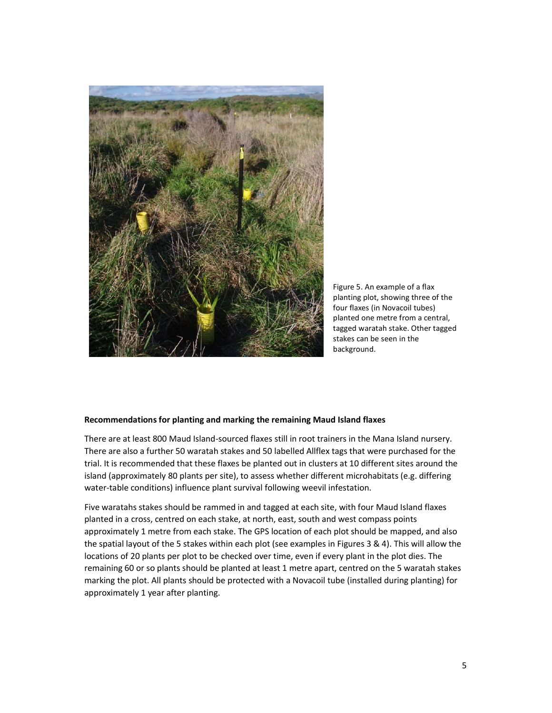

Figure 5. An example of a flax planting plot, showing three of the four flaxes (in Novacoil tubes) planted one metre from a central, tagged waratah stake. Other tagged stakes can be seen in the background.

#### Recommendations for planting and marking the remaining Maud Island flaxes

There are at least 800 Maud Island-sourced flaxes still in root trainers in the Mana Island nursery. There are also a further 50 waratah stakes and 50 labelled Allflex tags that were purchased for the trial. It is recommended that these flaxes be planted out in clusters at 10 different sites around the island (approximately 80 plants per site), to assess whether different microhabitats (e.g. differing water-table conditions) influence plant survival following weevil infestation.

Five waratahs stakes should be rammed in and tagged at each site, with four Maud Island flaxes planted in a cross, centred on each stake, at north, east, south and west compass points approximately 1 metre from each stake. The GPS location of each plot should be mapped, and also the spatial layout of the 5 stakes within each plot (see examples in Figures 3 & 4). This will allow the locations of 20 plants per plot to be checked over time, even if every plant in the plot dies. The remaining 60 or so plants should be planted at least 1 metre apart, centred on the 5 waratah stakes marking the plot. All plants should be protected with a Novacoil tube (installed during planting) for approximately 1 year after planting.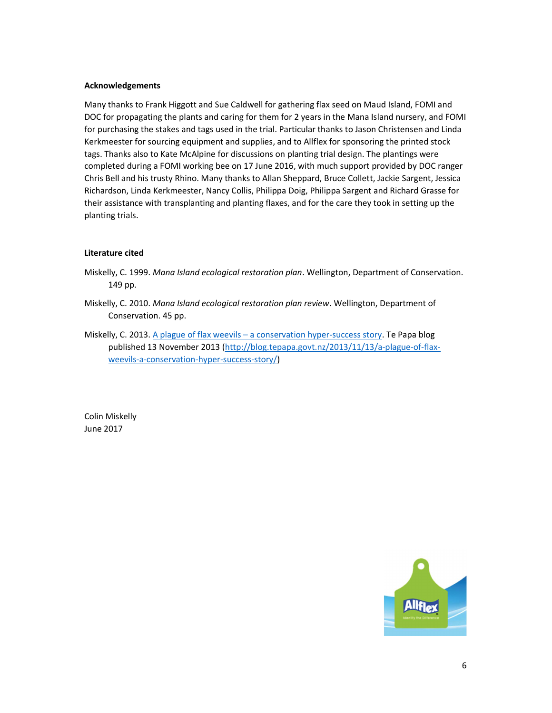#### Acknowledgements

Many thanks to Frank Higgott and Sue Caldwell for gathering flax seed on Maud Island, FOMI and DOC for propagating the plants and caring for them for 2 years in the Mana Island nursery, and FOMI for purchasing the stakes and tags used in the trial. Particular thanks to Jason Christensen and Linda Kerkmeester for sourcing equipment and supplies, and to Allflex for sponsoring the printed stock tags. Thanks also to Kate McAlpine for discussions on planting trial design. The plantings were completed during a FOMI working bee on 17 June 2016, with much support provided by DOC ranger Chris Bell and his trusty Rhino. Many thanks to Allan Sheppard, Bruce Collett, Jackie Sargent, Jessica Richardson, Linda Kerkmeester, Nancy Collis, Philippa Doig, Philippa Sargent and Richard Grasse for their assistance with transplanting and planting flaxes, and for the care they took in setting up the planting trials.

#### Literature cited

- Miskelly, C. 1999. Mana Island ecological restoration plan. Wellington, Department of Conservation. 149 pp.
- Miskelly, C. 2010. Mana Island ecological restoration plan review. Wellington, Department of Conservation. 45 pp.
- Miskelly, C. 2013. A plague of flax weevils a conservation hyper-success story. Te Papa blog published 13 November 2013 (http://blog.tepapa.govt.nz/2013/11/13/a-plague-of-flaxweevils-a-conservation-hyper-success-story/)

Colin Miskelly June 2017

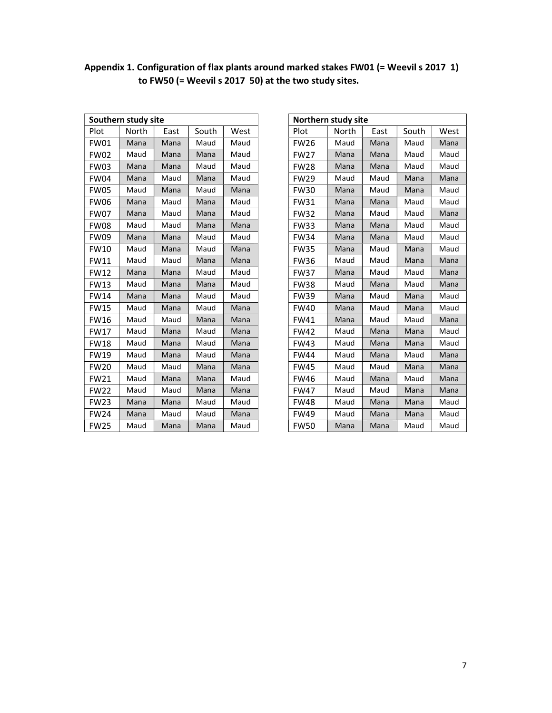|             | Southern study site |      | Northern study site |      |             |       |  |
|-------------|---------------------|------|---------------------|------|-------------|-------|--|
| Plot        | North               | East | South               | West | Plot        | North |  |
| <b>FW01</b> | Mana                | Mana | Maud                | Maud | <b>FW26</b> | Maud  |  |
| <b>FW02</b> | Maud                | Mana | Mana                | Maud | <b>FW27</b> | Mana  |  |
| <b>FW03</b> | Mana                | Mana | Maud                | Maud | <b>FW28</b> | Mana  |  |
| <b>FW04</b> | Mana                | Maud | Mana                | Maud | <b>FW29</b> | Maud  |  |
| <b>FW05</b> | Maud                | Mana | Maud                | Mana | <b>FW30</b> | Mana  |  |
| <b>FW06</b> | Mana                | Maud | Mana                | Maud | <b>FW31</b> | Mana  |  |
| <b>FW07</b> | Mana                | Maud | Mana                | Maud | <b>FW32</b> | Mana  |  |
| <b>FW08</b> | Maud                | Maud | Mana                | Mana | <b>FW33</b> | Mana  |  |
| <b>FW09</b> | Mana                | Mana | Maud                | Maud | <b>FW34</b> | Mana  |  |
| <b>FW10</b> | Maud                | Mana | Maud                | Mana | <b>FW35</b> | Mana  |  |
| <b>FW11</b> | Maud                | Maud | Mana                | Mana | <b>FW36</b> | Maud  |  |
| <b>FW12</b> | Mana                | Mana | Maud                | Maud | <b>FW37</b> | Mana  |  |
| <b>FW13</b> | Maud                | Mana | Mana                | Maud | <b>FW38</b> | Maud  |  |
| <b>FW14</b> | Mana                | Mana | Maud                | Maud | <b>FW39</b> | Mana  |  |
| <b>FW15</b> | Maud                | Mana | Maud                | Mana | <b>FW40</b> | Mana  |  |
| <b>FW16</b> | Maud                | Maud | Mana                | Mana | <b>FW41</b> | Mana  |  |
| <b>FW17</b> | Maud                | Mana | Maud                | Mana | <b>FW42</b> | Maud  |  |
| <b>FW18</b> | Maud                | Mana | Maud                | Mana | <b>FW43</b> | Maud  |  |
| <b>FW19</b> | Maud                | Mana | Maud                | Mana | <b>FW44</b> | Maud  |  |
| <b>FW20</b> | Maud                | Maud | Mana                | Mana | <b>FW45</b> | Maud  |  |
| <b>FW21</b> | Maud                | Mana | Mana                | Maud | <b>FW46</b> | Maud  |  |
| <b>FW22</b> | Maud                | Maud | Mana                | Mana | <b>FW47</b> | Maud  |  |
| <b>FW23</b> | Mana                | Mana | Maud                | Maud | <b>FW48</b> | Maud  |  |
| <b>FW24</b> | Mana                | Maud | Maud                | Mana | <b>FW49</b> | Maud  |  |
| <b>FW25</b> | Maud                | Mana | Mana                | Maud | <b>FW50</b> | Mana  |  |

| Appendix 1. Configuration of flax plants around marked stakes FW01 (= Weevil s 2017 1) |  |
|----------------------------------------------------------------------------------------|--|
| to FW50 (= Weevil s 2017 50) at the two study sites.                                   |  |

| Southern study site |       |      |       |      | Northern study site |       |      |       |      |
|---------------------|-------|------|-------|------|---------------------|-------|------|-------|------|
| Plot                | North | East | South | West | Plot                | North | East | South | West |
| <b>FW01</b>         | Mana  | Mana | Maud  | Maud | <b>FW26</b>         | Maud  | Mana | Maud  | Mana |
| <b>FW02</b>         | Maud  | Mana | Mana  | Maud | <b>FW27</b>         | Mana  | Mana | Maud  | Maud |
| FW03                | Mana  | Mana | Maud  | Maud | <b>FW28</b>         | Mana  | Mana | Maud  | Maud |
| FW04                | Mana  | Maud | Mana  | Maud | <b>FW29</b>         | Maud  | Maud | Mana  | Mana |
| <b>FW05</b>         | Maud  | Mana | Maud  | Mana | <b>FW30</b>         | Mana  | Maud | Mana  | Maud |
| <b>FW06</b>         | Mana  | Maud | Mana  | Maud | <b>FW31</b>         | Mana  | Mana | Maud  | Maud |
| <b>FW07</b>         | Mana  | Maud | Mana  | Maud | <b>FW32</b>         | Mana  | Maud | Maud  | Mana |
| FW08                | Maud  | Maud | Mana  | Mana | <b>FW33</b>         | Mana  | Mana | Maud  | Maud |
| <b>FW09</b>         | Mana  | Mana | Maud  | Maud | <b>FW34</b>         | Mana  | Mana | Maud  | Maud |
| FW10                | Maud  | Mana | Maud  | Mana | <b>FW35</b>         | Mana  | Maud | Mana  | Maud |
| FW11                | Maud  | Maud | Mana  | Mana | <b>FW36</b>         | Maud  | Maud | Mana  | Mana |
| <b>FW12</b>         | Mana  | Mana | Maud  | Maud | <b>FW37</b>         | Mana  | Maud | Maud  | Mana |
| <b>FW13</b>         | Maud  | Mana | Mana  | Maud | <b>FW38</b>         | Maud  | Mana | Maud  | Mana |
| <b>FW14</b>         | Mana  | Mana | Maud  | Maud | <b>FW39</b>         | Mana  | Maud | Mana  | Maud |
| FW15                | Maud  | Mana | Maud  | Mana | <b>FW40</b>         | Mana  | Maud | Mana  | Maud |
| <b>FW16</b>         | Maud  | Maud | Mana  | Mana | <b>FW41</b>         | Mana  | Maud | Maud  | Mana |
| <b>FW17</b>         | Maud  | Mana | Maud  | Mana | <b>FW42</b>         | Maud  | Mana | Mana  | Maud |
| <b>FW18</b>         | Maud  | Mana | Maud  | Mana | <b>FW43</b>         | Maud  | Mana | Mana  | Maud |
| FW19                | Maud  | Mana | Maud  | Mana | <b>FW44</b>         | Maud  | Mana | Maud  | Mana |
| <b>FW20</b>         | Maud  | Maud | Mana  | Mana | <b>FW45</b>         | Maud  | Maud | Mana  | Mana |
| FW21                | Maud  | Mana | Mana  | Maud | <b>FW46</b>         | Maud  | Mana | Maud  | Mana |
| <b>FW22</b>         | Maud  | Maud | Mana  | Mana | <b>FW47</b>         | Maud  | Maud | Mana  | Mana |
| <b>FW23</b>         | Mana  | Mana | Maud  | Maud | <b>FW48</b>         | Maud  | Mana | Mana  | Maud |
| FW24                | Mana  | Maud | Maud  | Mana | <b>FW49</b>         | Maud  | Mana | Mana  | Maud |
| <b>FW25</b>         | Maud  | Mana | Mana  | Maud | <b>FW50</b>         | Mana  | Mana | Maud  | Maud |